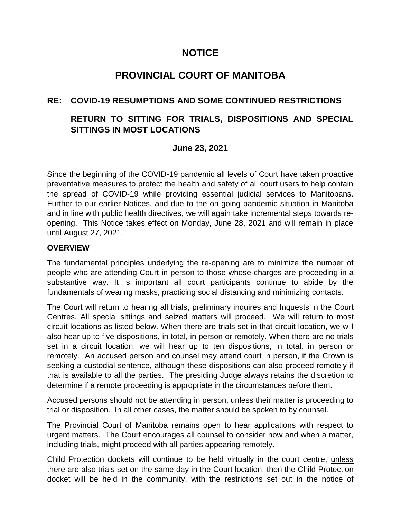# **NOTICE**

# **PROVINCIAL COURT OF MANITOBA**

## **RE: COVID-19 RESUMPTIONS AND SOME CONTINUED RESTRICTIONS**

# **RETURN TO SITTING FOR TRIALS, DISPOSITIONS AND SPECIAL SITTINGS IN MOST LOCATIONS**

## **June 23, 2021**

Since the beginning of the COVID-19 pandemic all levels of Court have taken proactive preventative measures to protect the health and safety of all court users to help contain the spread of COVID-19 while providing essential judicial services to Manitobans. Further to our earlier Notices, and due to the on-going pandemic situation in Manitoba and in line with public health directives, we will again take incremental steps towards reopening. This Notice takes effect on Monday, June 28, 2021 and will remain in place until August 27, 2021.

### **OVERVIEW**

The fundamental principles underlying the re-opening are to minimize the number of people who are attending Court in person to those whose charges are proceeding in a substantive way. It is important all court participants continue to abide by the fundamentals of wearing masks, practicing social distancing and minimizing contacts.

The Court will return to hearing all trials, preliminary inquires and Inquests in the Court Centres. All special sittings and seized matters will proceed. We will return to most circuit locations as listed below. When there are trials set in that circuit location, we will also hear up to five dispositions, in total, in person or remotely. When there are no trials set in a circuit location, we will hear up to ten dispositions, in total, in person or remotely. An accused person and counsel may attend court in person, if the Crown is seeking a custodial sentence, although these dispositions can also proceed remotely if that is available to all the parties. The presiding Judge always retains the discretion to determine if a remote proceeding is appropriate in the circumstances before them.

Accused persons should not be attending in person, unless their matter is proceeding to trial or disposition. In all other cases, the matter should be spoken to by counsel.

The Provincial Court of Manitoba remains open to hear applications with respect to urgent matters. The Court encourages all counsel to consider how and when a matter, including trials, might proceed with all parties appearing remotely.

Child Protection dockets will continue to be held virtually in the court centre, unless there are also trials set on the same day in the Court location, then the Child Protection docket will be held in the community, with the restrictions set out in the notice of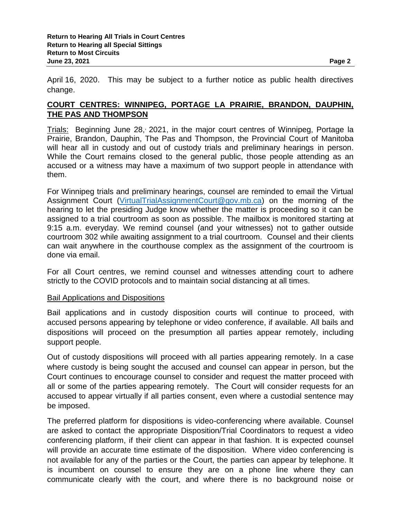April 16, 2020. This may be subject to a further notice as public health directives change.

### **COURT CENTRES: WINNIPEG, PORTAGE LA PRAIRIE, BRANDON, DAUPHIN, THE PAS AND THOMPSON**

Trials: Beginning June 28, 2021, in the major court centres of Winnipeg, Portage la Prairie, Brandon, Dauphin, The Pas and Thompson, the Provincial Court of Manitoba will hear all in custody and out of custody trials and preliminary hearings in person. While the Court remains closed to the general public, those people attending as an accused or a witness may have a maximum of two support people in attendance with them.

For Winnipeg trials and preliminary hearings, counsel are reminded to email the Virtual Assignment Court [\(VirtualTrialAssignmentCourt@gov.mb.ca\)](mailto:VirtualTrialAssignmentCourt@gov.mb.ca) on the morning of the hearing to let the presiding Judge know whether the matter is proceeding so it can be assigned to a trial courtroom as soon as possible. The mailbox is monitored starting at 9:15 a.m. everyday. We remind counsel (and your witnesses) not to gather outside courtroom 302 while awaiting assignment to a trial courtroom. Counsel and their clients can wait anywhere in the courthouse complex as the assignment of the courtroom is done via email.

For all Court centres, we remind counsel and witnesses attending court to adhere strictly to the COVID protocols and to maintain social distancing at all times.

#### Bail Applications and Dispositions

Bail applications and in custody disposition courts will continue to proceed, with accused persons appearing by telephone or video conference, if available. All bails and dispositions will proceed on the presumption all parties appear remotely, including support people.

Out of custody dispositions will proceed with all parties appearing remotely. In a case where custody is being sought the accused and counsel can appear in person, but the Court continues to encourage counsel to consider and request the matter proceed with all or some of the parties appearing remotely. The Court will consider requests for an accused to appear virtually if all parties consent, even where a custodial sentence may be imposed.

The preferred platform for dispositions is video-conferencing where available. Counsel are asked to contact the appropriate Disposition/Trial Coordinators to request a video conferencing platform, if their client can appear in that fashion. It is expected counsel will provide an accurate time estimate of the disposition. Where video conferencing is not available for any of the parties or the Court, the parties can appear by telephone. It is incumbent on counsel to ensure they are on a phone line where they can communicate clearly with the court, and where there is no background noise or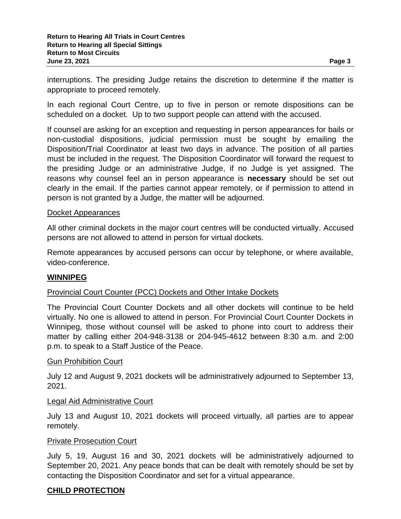In each regional Court Centre, up to five in person or remote dispositions can be scheduled on a docket. Up to two support people can attend with the accused.

If counsel are asking for an exception and requesting in person appearances for bails or non-custodial dispositions, judicial permission must be sought by emailing the Disposition/Trial Coordinator at least two days in advance. The position of all parties must be included in the request. The Disposition Coordinator will forward the request to the presiding Judge or an administrative Judge, if no Judge is yet assigned. The reasons why counsel feel an in person appearance is **necessary** should be set out clearly in the email. If the parties cannot appear remotely, or if permission to attend in person is not granted by a Judge, the matter will be adjourned.

#### Docket Appearances

All other criminal dockets in the major court centres will be conducted virtually. Accused persons are not allowed to attend in person for virtual dockets.

Remote appearances by accused persons can occur by telephone, or where available, video-conference.

### **WINNIPEG**

### Provincial Court Counter (PCC) Dockets and Other Intake Dockets

The Provincial Court Counter Dockets and all other dockets will continue to be held virtually. No one is allowed to attend in person. For Provincial Court Counter Dockets in Winnipeg, those without counsel will be asked to phone into court to address their matter by calling either 204-948-3138 or 204-945-4612 between 8:30 a.m. and 2:00 p.m. to speak to a Staff Justice of the Peace.

#### Gun Prohibition Court

July 12 and August 9, 2021 dockets will be administratively adjourned to September 13, 2021.

#### Legal Aid Administrative Court

July 13 and August 10, 2021 dockets will proceed virtually, all parties are to appear remotely.

#### Private Prosecution Court

July 5, 19, August 16 and 30, 2021 dockets will be administratively adjourned to September 20, 2021. Any peace bonds that can be dealt with remotely should be set by contacting the Disposition Coordinator and set for a virtual appearance.

## **CHILD PROTECTION**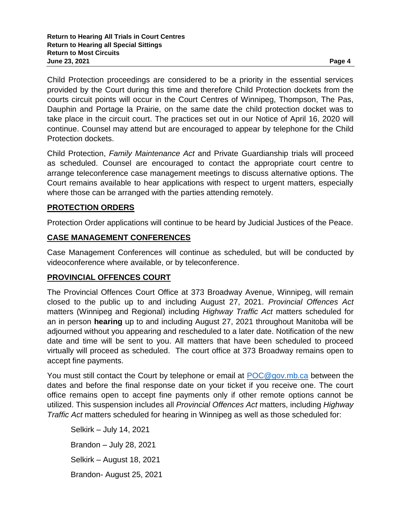Child Protection proceedings are considered to be a priority in the essential services provided by the Court during this time and therefore Child Protection dockets from the courts circuit points will occur in the Court Centres of Winnipeg, Thompson, The Pas, Dauphin and Portage la Prairie, on the same date the child protection docket was to take place in the circuit court. The practices set out in our Notice of April 16, 2020 will continue. Counsel may attend but are encouraged to appear by telephone for the Child Protection dockets.

Child Protection, *Family Maintenance Act* and Private Guardianship trials will proceed as scheduled. Counsel are encouraged to contact the appropriate court centre to arrange teleconference case management meetings to discuss alternative options. The Court remains available to hear applications with respect to urgent matters, especially where those can be arranged with the parties attending remotely.

### **PROTECTION ORDERS**

Protection Order applications will continue to be heard by Judicial Justices of the Peace.

### **CASE MANAGEMENT CONFERENCES**

Case Management Conferences will continue as scheduled, but will be conducted by videoconference where available, or by teleconference.

### **PROVINCIAL OFFENCES COURT**

The Provincial Offences Court Office at 373 Broadway Avenue, Winnipeg, will remain closed to the public up to and including August 27, 2021. *Provincial Offences Act* matters (Winnipeg and Regional) including *Highway Traffic Act* matters scheduled for an in person **hearing** up to and including August 27, 2021 throughout Manitoba will be adjourned without you appearing and rescheduled to a later date. Notification of the new date and time will be sent to you. All matters that have been scheduled to proceed virtually will proceed as scheduled. The court office at 373 Broadway remains open to accept fine payments.

You must still contact the Court by telephone or email at [POC@gov.mb.ca](mailto:POC@gov.mb.ca) between the dates and before the final response date on your ticket if you receive one. The court office remains open to accept fine payments only if other remote options cannot be utilized. This suspension includes all *Provincial Offences Act* matters, including *Highway Traffic Act* matters scheduled for hearing in Winnipeg as well as those scheduled for:

Selkirk – July 14, 2021 Brandon – July 28, 2021 Selkirk – August 18, 2021 Brandon- August 25, 2021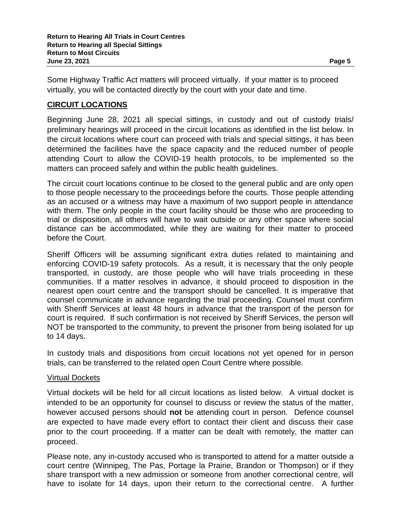Some Highway Traffic Act matters will proceed virtually. If your matter is to proceed virtually, you will be contacted directly by the court with your date and time.

## **CIRCUIT LOCATIONS**

Beginning June 28, 2021 all special sittings, in custody and out of custody trials/ preliminary hearings will proceed in the circuit locations as identified in the list below. In the circuit locations where court can proceed with trials and special sittings, it has been determined the facilities have the space capacity and the reduced number of people attending Court to allow the COVID-19 health protocols, to be implemented so the matters can proceed safely and within the public health guidelines.

The circuit court locations continue to be closed to the general public and are only open to those people necessary to the proceedings before the courts. Those people attending as an accused or a witness may have a maximum of two support people in attendance with them. The only people in the court facility should be those who are proceeding to trial or disposition, all others will have to wait outside or any other space where social distance can be accommodated, while they are waiting for their matter to proceed before the Court.

Sheriff Officers will be assuming significant extra duties related to maintaining and enforcing COVID-19 safety protocols. As a result, it is necessary that the only people transported, in custody, are those people who will have trials proceeding in these communities. If a matter resolves in advance, it should proceed to disposition in the nearest open court centre and the transport should be cancelled. It is imperative that counsel communicate in advance regarding the trial proceeding. Counsel must confirm with Sheriff Services at least 48 hours in advance that the transport of the person for court is required. If such confirmation is not received by Sheriff Services, the person will NOT be transported to the community, to prevent the prisoner from being isolated for up to 14 days.

In custody trials and dispositions from circuit locations not yet opened for in person trials, can be transferred to the related open Court Centre where possible.

### Virtual Dockets

Virtual dockets will be held for all circuit locations as listed below. A virtual docket is intended to be an opportunity for counsel to discuss or review the status of the matter, however accused persons should **not** be attending court in person. Defence counsel are expected to have made every effort to contact their client and discuss their case prior to the court proceeding. If a matter can be dealt with remotely, the matter can proceed.

Please note, any in-custody accused who is transported to attend for a matter outside a court centre (Winnipeg, The Pas, Portage la Prairie, Brandon or Thompson) or if they share transport with a new admission or someone from another correctional centre, will have to isolate for 14 days, upon their return to the correctional centre. A further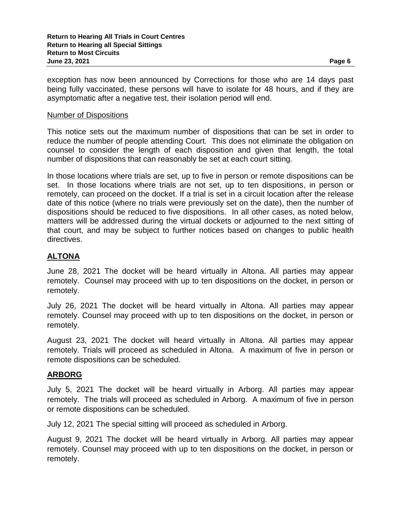exception has now been announced by Corrections for those who are 14 days past being fully vaccinated, these persons will have to isolate for 48 hours, and if they are asymptomatic after a negative test, their isolation period will end.

#### Number of Dispositions

This notice sets out the maximum number of dispositions that can be set in order to reduce the number of people attending Court. This does not eliminate the obligation on counsel to consider the length of each disposition and given that length, the total number of dispositions that can reasonably be set at each court sitting.

In those locations where trials are set, up to five in person or remote dispositions can be set. In those locations where trials are not set, up to ten dispositions, in person or remotely, can proceed on the docket. If a trial is set in a circuit location after the release date of this notice (where no trials were previously set on the date), then the number of dispositions should be reduced to five dispositions. In all other cases, as noted below, matters will be addressed during the virtual dockets or adjourned to the next sitting of that court, and may be subject to further notices based on changes to public health directives.

### **ALTONA**

June 28, 2021 The docket will be heard virtually in Altona. All parties may appear remotely. Counsel may proceed with up to ten dispositions on the docket, in person or remotely.

July 26, 2021 The docket will be heard virtually in Altona. All parties may appear remotely. Counsel may proceed with up to ten dispositions on the docket, in person or remotely.

August 23, 2021 The docket will heard virtually in Altona. All parties may appear remotely. Trials will proceed as scheduled in Altona. A maximum of five in person or remote dispositions can be scheduled.

#### **ARBORG**

July 5, 2021 The docket will be heard virtually in Arborg. All parties may appear remotely. The trials will proceed as scheduled in Arborg. A maximum of five in person or remote dispositions can be scheduled.

July 12, 2021 The special sitting will proceed as scheduled in Arborg.

August 9, 2021 The docket will be heard virtually in Arborg. All parties may appear remotely. Counsel may proceed with up to ten dispositions on the docket, in person or remotely.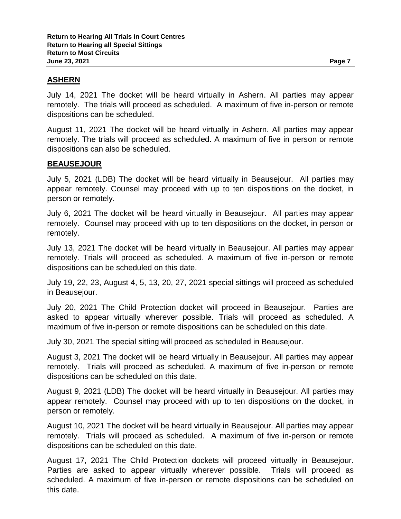#### **ASHERN**

July 14, 2021 The docket will be heard virtually in Ashern. All parties may appear remotely. The trials will proceed as scheduled. A maximum of five in-person or remote dispositions can be scheduled.

August 11, 2021 The docket will be heard virtually in Ashern. All parties may appear remotely. The trials will proceed as scheduled. A maximum of five in person or remote dispositions can also be scheduled.

#### **BEAUSEJOUR**

July 5, 2021 (LDB) The docket will be heard virtually in Beausejour. All parties may appear remotely. Counsel may proceed with up to ten dispositions on the docket, in person or remotely.

July 6, 2021 The docket will be heard virtually in Beausejour. All parties may appear remotely. Counsel may proceed with up to ten dispositions on the docket, in person or remotely.

July 13, 2021 The docket will be heard virtually in Beausejour. All parties may appear remotely. Trials will proceed as scheduled. A maximum of five in-person or remote dispositions can be scheduled on this date.

July 19, 22, 23, August 4, 5, 13, 20, 27, 2021 special sittings will proceed as scheduled in Beausejour.

July 20, 2021 The Child Protection docket will proceed in Beausejour. Parties are asked to appear virtually wherever possible. Trials will proceed as scheduled. A maximum of five in-person or remote dispositions can be scheduled on this date.

July 30, 2021 The special sitting will proceed as scheduled in Beausejour.

August 3, 2021 The docket will be heard virtually in Beausejour. All parties may appear remotely. Trials will proceed as scheduled. A maximum of five in-person or remote dispositions can be scheduled on this date.

August 9, 2021 (LDB) The docket will be heard virtually in Beausejour. All parties may appear remotely. Counsel may proceed with up to ten dispositions on the docket, in person or remotely.

August 10, 2021 The docket will be heard virtually in Beausejour. All parties may appear remotely. Trials will proceed as scheduled. A maximum of five in-person or remote dispositions can be scheduled on this date.

August 17, 2021 The Child Protection dockets will proceed virtually in Beausejour. Parties are asked to appear virtually wherever possible. Trials will proceed as scheduled. A maximum of five in-person or remote dispositions can be scheduled on this date.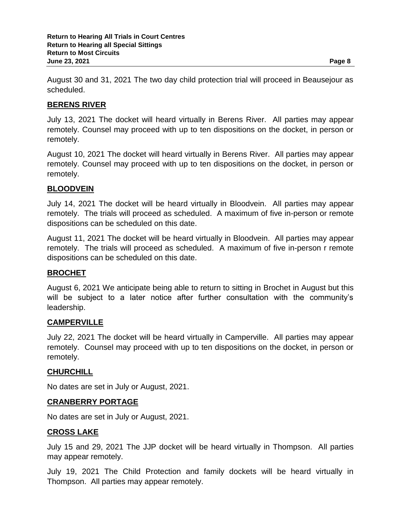August 30 and 31, 2021 The two day child protection trial will proceed in Beausejour as scheduled.

### **BERENS RIVER**

July 13, 2021 The docket will heard virtually in Berens River. All parties may appear remotely. Counsel may proceed with up to ten dispositions on the docket, in person or remotely.

August 10, 2021 The docket will heard virtually in Berens River. All parties may appear remotely. Counsel may proceed with up to ten dispositions on the docket, in person or remotely.

### **BLOODVEIN**

July 14, 2021 The docket will be heard virtually in Bloodvein. All parties may appear remotely. The trials will proceed as scheduled. A maximum of five in-person or remote dispositions can be scheduled on this date.

August 11, 2021 The docket will be heard virtually in Bloodvein. All parties may appear remotely. The trials will proceed as scheduled. A maximum of five in-person r remote dispositions can be scheduled on this date.

### **BROCHET**

August 6, 2021 We anticipate being able to return to sitting in Brochet in August but this will be subject to a later notice after further consultation with the community's leadership.

### **CAMPERVILLE**

July 22, 2021 The docket will be heard virtually in Camperville. All parties may appear remotely. Counsel may proceed with up to ten dispositions on the docket, in person or remotely.

### **CHURCHILL**

No dates are set in July or August, 2021.

### **CRANBERRY PORTAGE**

No dates are set in July or August, 2021.

### **CROSS LAKE**

July 15 and 29, 2021 The JJP docket will be heard virtually in Thompson. All parties may appear remotely.

July 19, 2021 The Child Protection and family dockets will be heard virtually in Thompson. All parties may appear remotely.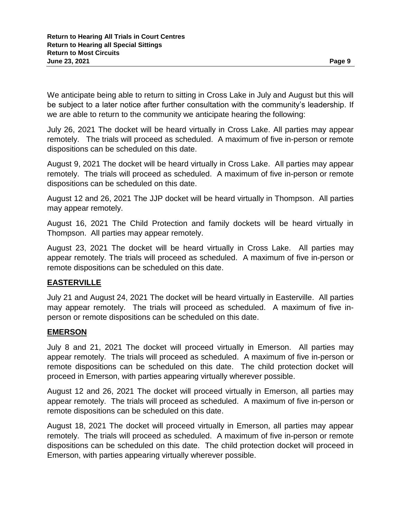We anticipate being able to return to sitting in Cross Lake in July and August but this will be subject to a later notice after further consultation with the community's leadership. If we are able to return to the community we anticipate hearing the following:

July 26, 2021 The docket will be heard virtually in Cross Lake. All parties may appear remotely. The trials will proceed as scheduled. A maximum of five in-person or remote dispositions can be scheduled on this date.

August 9, 2021 The docket will be heard virtually in Cross Lake. All parties may appear remotely. The trials will proceed as scheduled. A maximum of five in-person or remote dispositions can be scheduled on this date.

August 12 and 26, 2021 The JJP docket will be heard virtually in Thompson. All parties may appear remotely.

August 16, 2021 The Child Protection and family dockets will be heard virtually in Thompson. All parties may appear remotely.

August 23, 2021 The docket will be heard virtually in Cross Lake. All parties may appear remotely. The trials will proceed as scheduled. A maximum of five in-person or remote dispositions can be scheduled on this date.

## **EASTERVILLE**

July 21 and August 24, 2021 The docket will be heard virtually in Easterville. All parties may appear remotely. The trials will proceed as scheduled. A maximum of five inperson or remote dispositions can be scheduled on this date.

## **EMERSON**

July 8 and 21, 2021 The docket will proceed virtually in Emerson. All parties may appear remotely. The trials will proceed as scheduled. A maximum of five in-person or remote dispositions can be scheduled on this date. The child protection docket will proceed in Emerson, with parties appearing virtually wherever possible.

August 12 and 26, 2021 The docket will proceed virtually in Emerson, all parties may appear remotely. The trials will proceed as scheduled. A maximum of five in-person or remote dispositions can be scheduled on this date.

August 18, 2021 The docket will proceed virtually in Emerson, all parties may appear remotely. The trials will proceed as scheduled. A maximum of five in-person or remote dispositions can be scheduled on this date. The child protection docket will proceed in Emerson, with parties appearing virtually wherever possible.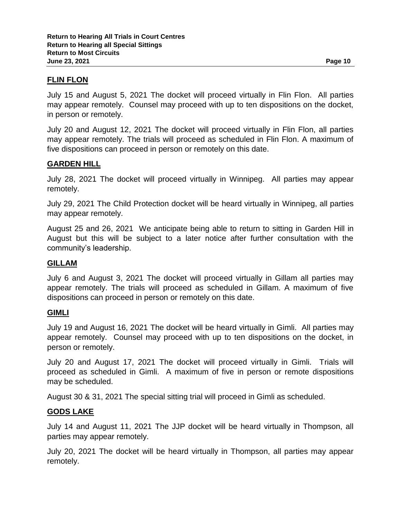### **FLIN FLON**

July 15 and August 5, 2021 The docket will proceed virtually in Flin Flon. All parties may appear remotely. Counsel may proceed with up to ten dispositions on the docket, in person or remotely.

July 20 and August 12, 2021 The docket will proceed virtually in Flin Flon, all parties may appear remotely. The trials will proceed as scheduled in Flin Flon. A maximum of five dispositions can proceed in person or remotely on this date.

### **GARDEN HILL**

July 28, 2021 The docket will proceed virtually in Winnipeg. All parties may appear remotely.

July 29, 2021 The Child Protection docket will be heard virtually in Winnipeg, all parties may appear remotely.

August 25 and 26, 2021 We anticipate being able to return to sitting in Garden Hill in August but this will be subject to a later notice after further consultation with the community's leadership.

#### **GILLAM**

July 6 and August 3, 2021 The docket will proceed virtually in Gillam all parties may appear remotely. The trials will proceed as scheduled in Gillam. A maximum of five dispositions can proceed in person or remotely on this date.

#### **GIMLI**

July 19 and August 16, 2021 The docket will be heard virtually in Gimli. All parties may appear remotely. Counsel may proceed with up to ten dispositions on the docket, in person or remotely.

July 20 and August 17, 2021 The docket will proceed virtually in Gimli. Trials will proceed as scheduled in Gimli. A maximum of five in person or remote dispositions may be scheduled.

August 30 & 31, 2021 The special sitting trial will proceed in Gimli as scheduled.

### **GODS LAKE**

July 14 and August 11, 2021 The JJP docket will be heard virtually in Thompson, all parties may appear remotely.

July 20, 2021 The docket will be heard virtually in Thompson, all parties may appear remotely.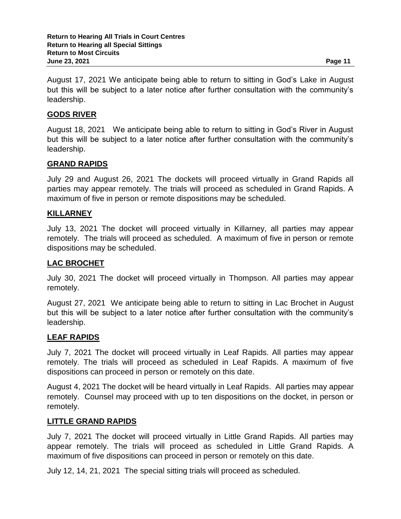August 17, 2021 We anticipate being able to return to sitting in God's Lake in August but this will be subject to a later notice after further consultation with the community's leadership.

#### **GODS RIVER**

August 18, 2021 We anticipate being able to return to sitting in God's River in August but this will be subject to a later notice after further consultation with the community's leadership.

#### **GRAND RAPIDS**

July 29 and August 26, 2021 The dockets will proceed virtually in Grand Rapids all parties may appear remotely. The trials will proceed as scheduled in Grand Rapids. A maximum of five in person or remote dispositions may be scheduled.

#### **KILLARNEY**

July 13, 2021 The docket will proceed virtually in Killarney, all parties may appear remotely. The trials will proceed as scheduled. A maximum of five in person or remote dispositions may be scheduled.

### **LAC BROCHET**

July 30, 2021 The docket will proceed virtually in Thompson. All parties may appear remotely.

August 27, 2021 We anticipate being able to return to sitting in Lac Brochet in August but this will be subject to a later notice after further consultation with the community's leadership.

### **LEAF RAPIDS**

July 7, 2021 The docket will proceed virtually in Leaf Rapids. All parties may appear remotely. The trials will proceed as scheduled in Leaf Rapids. A maximum of five dispositions can proceed in person or remotely on this date.

August 4, 2021 The docket will be heard virtually in Leaf Rapids. All parties may appear remotely. Counsel may proceed with up to ten dispositions on the docket, in person or remotely.

#### **LITTLE GRAND RAPIDS**

July 7, 2021 The docket will proceed virtually in Little Grand Rapids. All parties may appear remotely. The trials will proceed as scheduled in Little Grand Rapids. A maximum of five dispositions can proceed in person or remotely on this date.

July 12, 14, 21, 2021 The special sitting trials will proceed as scheduled.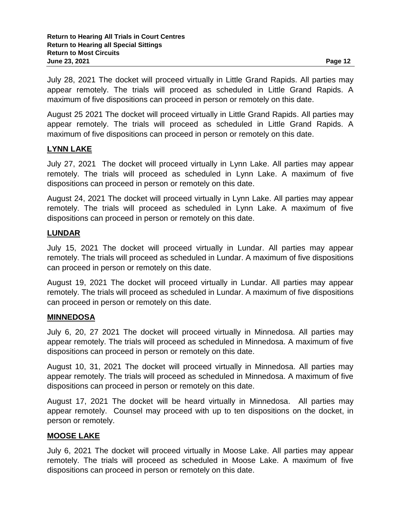July 28, 2021 The docket will proceed virtually in Little Grand Rapids. All parties may appear remotely. The trials will proceed as scheduled in Little Grand Rapids. A maximum of five dispositions can proceed in person or remotely on this date.

August 25 2021 The docket will proceed virtually in Little Grand Rapids. All parties may appear remotely. The trials will proceed as scheduled in Little Grand Rapids. A maximum of five dispositions can proceed in person or remotely on this date.

## **LYNN LAKE**

July 27, 2021 The docket will proceed virtually in Lynn Lake. All parties may appear remotely. The trials will proceed as scheduled in Lynn Lake. A maximum of five dispositions can proceed in person or remotely on this date.

August 24, 2021 The docket will proceed virtually in Lynn Lake. All parties may appear remotely. The trials will proceed as scheduled in Lynn Lake. A maximum of five dispositions can proceed in person or remotely on this date.

### **LUNDAR**

July 15, 2021 The docket will proceed virtually in Lundar. All parties may appear remotely. The trials will proceed as scheduled in Lundar. A maximum of five dispositions can proceed in person or remotely on this date.

August 19, 2021 The docket will proceed virtually in Lundar. All parties may appear remotely. The trials will proceed as scheduled in Lundar. A maximum of five dispositions can proceed in person or remotely on this date.

### **MINNEDOSA**

July 6, 20, 27 2021 The docket will proceed virtually in Minnedosa. All parties may appear remotely. The trials will proceed as scheduled in Minnedosa. A maximum of five dispositions can proceed in person or remotely on this date.

August 10, 31, 2021 The docket will proceed virtually in Minnedosa. All parties may appear remotely. The trials will proceed as scheduled in Minnedosa. A maximum of five dispositions can proceed in person or remotely on this date.

August 17, 2021 The docket will be heard virtually in Minnedosa. All parties may appear remotely. Counsel may proceed with up to ten dispositions on the docket, in person or remotely.

## **MOOSE LAKE**

July 6, 2021 The docket will proceed virtually in Moose Lake. All parties may appear remotely. The trials will proceed as scheduled in Moose Lake. A maximum of five dispositions can proceed in person or remotely on this date.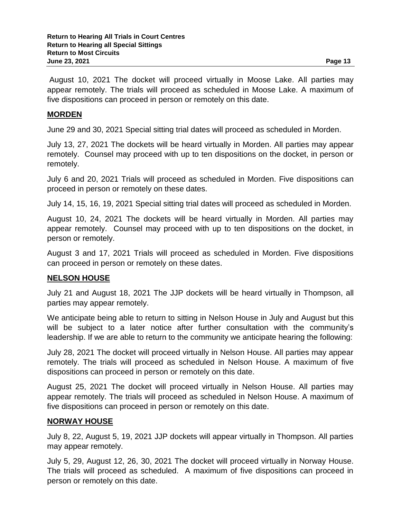August 10, 2021 The docket will proceed virtually in Moose Lake. All parties may appear remotely. The trials will proceed as scheduled in Moose Lake. A maximum of five dispositions can proceed in person or remotely on this date.

#### **MORDEN**

June 29 and 30, 2021 Special sitting trial dates will proceed as scheduled in Morden.

July 13, 27, 2021 The dockets will be heard virtually in Morden. All parties may appear remotely. Counsel may proceed with up to ten dispositions on the docket, in person or remotely.

July 6 and 20, 2021 Trials will proceed as scheduled in Morden. Five dispositions can proceed in person or remotely on these dates.

July 14, 15, 16, 19, 2021 Special sitting trial dates will proceed as scheduled in Morden.

August 10, 24, 2021 The dockets will be heard virtually in Morden. All parties may appear remotely. Counsel may proceed with up to ten dispositions on the docket, in person or remotely.

August 3 and 17, 2021 Trials will proceed as scheduled in Morden. Five dispositions can proceed in person or remotely on these dates.

### **NELSON HOUSE**

July 21 and August 18, 2021 The JJP dockets will be heard virtually in Thompson, all parties may appear remotely.

We anticipate being able to return to sitting in Nelson House in July and August but this will be subject to a later notice after further consultation with the community's leadership. If we are able to return to the community we anticipate hearing the following:

July 28, 2021 The docket will proceed virtually in Nelson House. All parties may appear remotely. The trials will proceed as scheduled in Nelson House. A maximum of five dispositions can proceed in person or remotely on this date.

August 25, 2021 The docket will proceed virtually in Nelson House. All parties may appear remotely. The trials will proceed as scheduled in Nelson House. A maximum of five dispositions can proceed in person or remotely on this date.

#### **NORWAY HOUSE**

July 8, 22, August 5, 19, 2021 JJP dockets will appear virtually in Thompson. All parties may appear remotely.

July 5, 29, August 12, 26, 30, 2021 The docket will proceed virtually in Norway House. The trials will proceed as scheduled. A maximum of five dispositions can proceed in person or remotely on this date.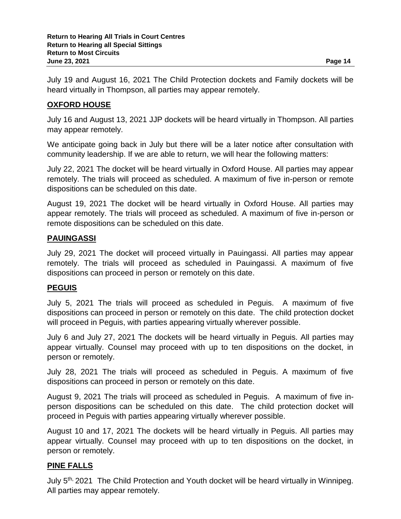## **OXFORD HOUSE**

July 16 and August 13, 2021 JJP dockets will be heard virtually in Thompson. All parties may appear remotely.

We anticipate going back in July but there will be a later notice after consultation with community leadership. If we are able to return, we will hear the following matters:

July 22, 2021 The docket will be heard virtually in Oxford House. All parties may appear remotely. The trials will proceed as scheduled. A maximum of five in-person or remote dispositions can be scheduled on this date.

August 19, 2021 The docket will be heard virtually in Oxford House. All parties may appear remotely. The trials will proceed as scheduled. A maximum of five in-person or remote dispositions can be scheduled on this date.

## **PAUINGASSI**

July 29, 2021 The docket will proceed virtually in Pauingassi. All parties may appear remotely. The trials will proceed as scheduled in Pauingassi. A maximum of five dispositions can proceed in person or remotely on this date.

## **PEGUIS**

July 5, 2021 The trials will proceed as scheduled in Peguis. A maximum of five dispositions can proceed in person or remotely on this date. The child protection docket will proceed in Peguis, with parties appearing virtually wherever possible.

July 6 and July 27, 2021 The dockets will be heard virtually in Peguis. All parties may appear virtually. Counsel may proceed with up to ten dispositions on the docket, in person or remotely.

July 28, 2021 The trials will proceed as scheduled in Peguis. A maximum of five dispositions can proceed in person or remotely on this date.

August 9, 2021 The trials will proceed as scheduled in Peguis. A maximum of five inperson dispositions can be scheduled on this date. The child protection docket will proceed in Peguis with parties appearing virtually wherever possible.

August 10 and 17, 2021 The dockets will be heard virtually in Peguis. All parties may appear virtually. Counsel may proceed with up to ten dispositions on the docket, in person or remotely.

## **PINE FALLS**

July 5<sup>th,</sup> 2021 The Child Protection and Youth docket will be heard virtually in Winnipeg. All parties may appear remotely.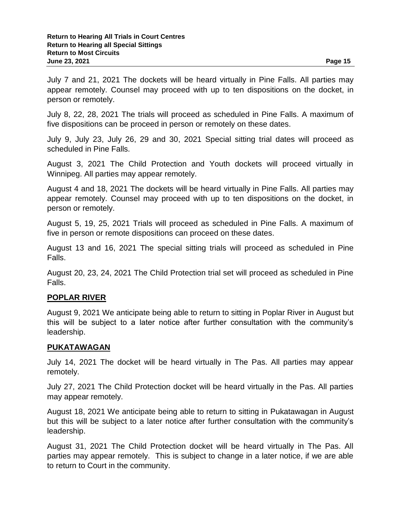July 8, 22, 28, 2021 The trials will proceed as scheduled in Pine Falls. A maximum of five dispositions can be proceed in person or remotely on these dates.

July 9, July 23, July 26, 29 and 30, 2021 Special sitting trial dates will proceed as scheduled in Pine Falls.

August 3, 2021 The Child Protection and Youth dockets will proceed virtually in Winnipeg. All parties may appear remotely.

August 4 and 18, 2021 The dockets will be heard virtually in Pine Falls. All parties may appear remotely. Counsel may proceed with up to ten dispositions on the docket, in person or remotely.

August 5, 19, 25, 2021 Trials will proceed as scheduled in Pine Falls. A maximum of five in person or remote dispositions can proceed on these dates.

August 13 and 16, 2021 The special sitting trials will proceed as scheduled in Pine Falls.

August 20, 23, 24, 2021 The Child Protection trial set will proceed as scheduled in Pine Falls.

## **POPLAR RIVER**

August 9, 2021 We anticipate being able to return to sitting in Poplar River in August but this will be subject to a later notice after further consultation with the community's leadership.

## **PUKATAWAGAN**

July 14, 2021 The docket will be heard virtually in The Pas. All parties may appear remotely.

July 27, 2021 The Child Protection docket will be heard virtually in the Pas. All parties may appear remotely.

August 18, 2021 We anticipate being able to return to sitting in Pukatawagan in August but this will be subject to a later notice after further consultation with the community's leadership.

August 31, 2021 The Child Protection docket will be heard virtually in The Pas. All parties may appear remotely. This is subject to change in a later notice, if we are able to return to Court in the community.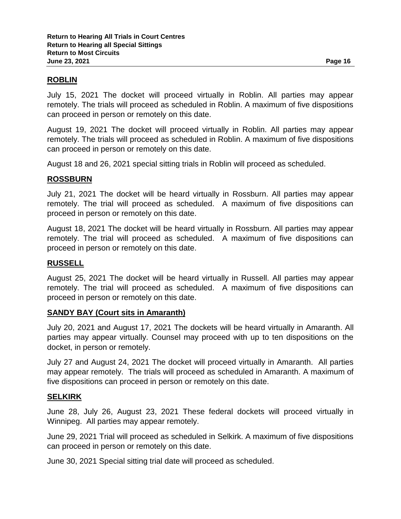#### **ROBLIN**

July 15, 2021 The docket will proceed virtually in Roblin. All parties may appear remotely. The trials will proceed as scheduled in Roblin. A maximum of five dispositions can proceed in person or remotely on this date.

August 19, 2021 The docket will proceed virtually in Roblin. All parties may appear remotely. The trials will proceed as scheduled in Roblin. A maximum of five dispositions can proceed in person or remotely on this date.

August 18 and 26, 2021 special sitting trials in Roblin will proceed as scheduled.

#### **ROSSBURN**

July 21, 2021 The docket will be heard virtually in Rossburn. All parties may appear remotely. The trial will proceed as scheduled. A maximum of five dispositions can proceed in person or remotely on this date.

August 18, 2021 The docket will be heard virtually in Rossburn. All parties may appear remotely. The trial will proceed as scheduled. A maximum of five dispositions can proceed in person or remotely on this date.

#### **RUSSELL**

August 25, 2021 The docket will be heard virtually in Russell. All parties may appear remotely. The trial will proceed as scheduled. A maximum of five dispositions can proceed in person or remotely on this date.

#### **SANDY BAY (Court sits in Amaranth)**

July 20, 2021 and August 17, 2021 The dockets will be heard virtually in Amaranth. All parties may appear virtually. Counsel may proceed with up to ten dispositions on the docket, in person or remotely.

July 27 and August 24, 2021 The docket will proceed virtually in Amaranth. All parties may appear remotely. The trials will proceed as scheduled in Amaranth. A maximum of five dispositions can proceed in person or remotely on this date.

#### **SELKIRK**

June 28, July 26, August 23, 2021 These federal dockets will proceed virtually in Winnipeg. All parties may appear remotely.

June 29, 2021 Trial will proceed as scheduled in Selkirk. A maximum of five dispositions can proceed in person or remotely on this date.

June 30, 2021 Special sitting trial date will proceed as scheduled.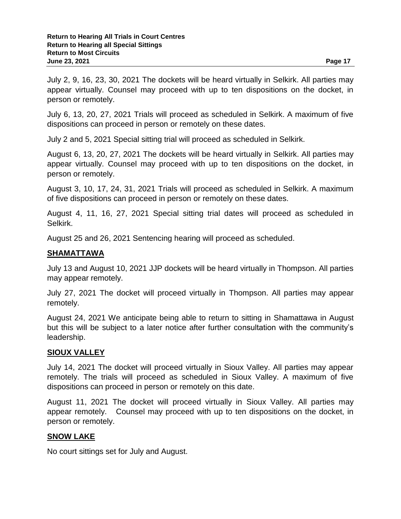July 6, 13, 20, 27, 2021 Trials will proceed as scheduled in Selkirk. A maximum of five dispositions can proceed in person or remotely on these dates.

July 2 and 5, 2021 Special sitting trial will proceed as scheduled in Selkirk.

August 6, 13, 20, 27, 2021 The dockets will be heard virtually in Selkirk. All parties may appear virtually. Counsel may proceed with up to ten dispositions on the docket, in person or remotely.

August 3, 10, 17, 24, 31, 2021 Trials will proceed as scheduled in Selkirk. A maximum of five dispositions can proceed in person or remotely on these dates.

August 4, 11, 16, 27, 2021 Special sitting trial dates will proceed as scheduled in Selkirk.

August 25 and 26, 2021 Sentencing hearing will proceed as scheduled.

## **SHAMATTAWA**

July 13 and August 10, 2021 JJP dockets will be heard virtually in Thompson. All parties may appear remotely.

July 27, 2021 The docket will proceed virtually in Thompson. All parties may appear remotely.

August 24, 2021 We anticipate being able to return to sitting in Shamattawa in August but this will be subject to a later notice after further consultation with the community's leadership.

### **SIOUX VALLEY**

July 14, 2021 The docket will proceed virtually in Sioux Valley. All parties may appear remotely. The trials will proceed as scheduled in Sioux Valley. A maximum of five dispositions can proceed in person or remotely on this date.

August 11, 2021 The docket will proceed virtually in Sioux Valley. All parties may appear remotely. Counsel may proceed with up to ten dispositions on the docket, in person or remotely.

## **SNOW LAKE**

No court sittings set for July and August.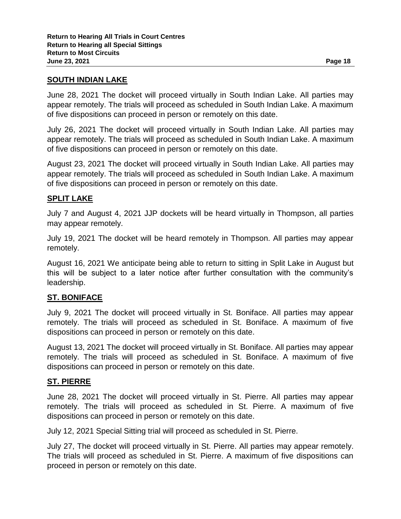#### **SOUTH INDIAN LAKE**

June 28, 2021 The docket will proceed virtually in South Indian Lake. All parties may appear remotely. The trials will proceed as scheduled in South Indian Lake. A maximum of five dispositions can proceed in person or remotely on this date.

July 26, 2021 The docket will proceed virtually in South Indian Lake. All parties may appear remotely. The trials will proceed as scheduled in South Indian Lake. A maximum of five dispositions can proceed in person or remotely on this date.

August 23, 2021 The docket will proceed virtually in South Indian Lake. All parties may appear remotely. The trials will proceed as scheduled in South Indian Lake. A maximum of five dispositions can proceed in person or remotely on this date.

#### **SPLIT LAKE**

July 7 and August 4, 2021 JJP dockets will be heard virtually in Thompson, all parties may appear remotely.

July 19, 2021 The docket will be heard remotely in Thompson. All parties may appear remotely.

August 16, 2021 We anticipate being able to return to sitting in Split Lake in August but this will be subject to a later notice after further consultation with the community's leadership.

### **ST. BONIFACE**

July 9, 2021 The docket will proceed virtually in St. Boniface. All parties may appear remotely. The trials will proceed as scheduled in St. Boniface. A maximum of five dispositions can proceed in person or remotely on this date.

August 13, 2021 The docket will proceed virtually in St. Boniface. All parties may appear remotely. The trials will proceed as scheduled in St. Boniface. A maximum of five dispositions can proceed in person or remotely on this date.

#### **ST. PIERRE**

June 28, 2021 The docket will proceed virtually in St. Pierre. All parties may appear remotely. The trials will proceed as scheduled in St. Pierre. A maximum of five dispositions can proceed in person or remotely on this date.

July 12, 2021 Special Sitting trial will proceed as scheduled in St. Pierre.

July 27, The docket will proceed virtually in St. Pierre. All parties may appear remotely. The trials will proceed as scheduled in St. Pierre. A maximum of five dispositions can proceed in person or remotely on this date.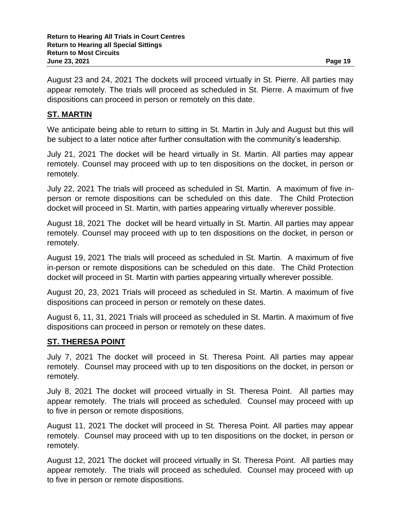### **ST. MARTIN**

We anticipate being able to return to sitting in St. Martin in July and August but this will be subject to a later notice after further consultation with the community's leadership.

July 21, 2021 The docket will be heard virtually in St. Martin. All parties may appear remotely. Counsel may proceed with up to ten dispositions on the docket, in person or remotely.

July 22, 2021 The trials will proceed as scheduled in St. Martin. A maximum of five inperson or remote dispositions can be scheduled on this date. The Child Protection docket will proceed in St. Martin, with parties appearing virtually wherever possible.

August 18, 2021 The docket will be heard virtually in St. Martin. All parties may appear remotely. Counsel may proceed with up to ten dispositions on the docket, in person or remotely.

August 19, 2021 The trials will proceed as scheduled in St. Martin. A maximum of five in-person or remote dispositions can be scheduled on this date. The Child Protection docket will proceed in St. Martin with parties appearing virtually wherever possible.

August 20, 23, 2021 Trials will proceed as scheduled in St. Martin. A maximum of five dispositions can proceed in person or remotely on these dates.

August 6, 11, 31, 2021 Trials will proceed as scheduled in St. Martin. A maximum of five dispositions can proceed in person or remotely on these dates.

## **ST. THERESA POINT**

July 7, 2021 The docket will proceed in St. Theresa Point. All parties may appear remotely. Counsel may proceed with up to ten dispositions on the docket, in person or remotely.

July 8, 2021 The docket will proceed virtually in St. Theresa Point. All parties may appear remotely. The trials will proceed as scheduled. Counsel may proceed with up to five in person or remote dispositions.

August 11, 2021 The docket will proceed in St. Theresa Point. All parties may appear remotely. Counsel may proceed with up to ten dispositions on the docket, in person or remotely.

August 12, 2021 The docket will proceed virtually in St. Theresa Point. All parties may appear remotely. The trials will proceed as scheduled. Counsel may proceed with up to five in person or remote dispositions.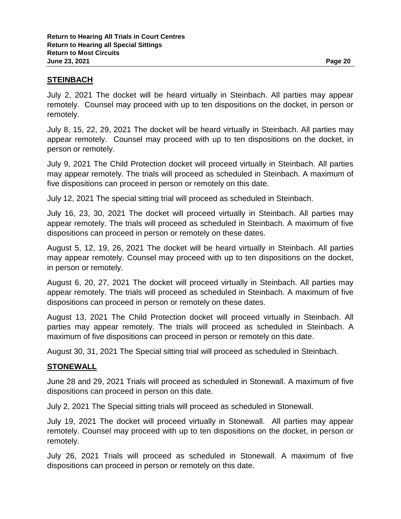#### **STEINBACH**

July 2, 2021 The docket will be heard virtually in Steinbach. All parties may appear remotely. Counsel may proceed with up to ten dispositions on the docket, in person or remotely.

July 8, 15, 22, 29, 2021 The docket will be heard virtually in Steinbach. All parties may appear remotely. Counsel may proceed with up to ten dispositions on the docket, in person or remotely.

July 9, 2021 The Child Protection docket will proceed virtually in Steinbach. All parties may appear remotely. The trials will proceed as scheduled in Steinbach. A maximum of five dispositions can proceed in person or remotely on this date.

July 12, 2021 The special sitting trial will proceed as scheduled in Steinbach.

July 16, 23, 30, 2021 The docket will proceed virtually in Steinbach. All parties may appear remotely. The trials will proceed as scheduled in Steinbach. A maximum of five dispositions can proceed in person or remotely on these dates.

August 5, 12, 19, 26, 2021 The docket will be heard virtually in Steinbach. All parties may appear remotely. Counsel may proceed with up to ten dispositions on the docket, in person or remotely.

August 6, 20, 27, 2021 The docket will proceed virtually in Steinbach. All parties may appear remotely. The trials will proceed as scheduled in Steinbach. A maximum of five dispositions can proceed in person or remotely on these dates.

August 13, 2021 The Child Protection docket will proceed virtually in Steinbach. All parties may appear remotely. The trials will proceed as scheduled in Steinbach. A maximum of five dispositions can proceed in person or remotely on this date.

August 30, 31, 2021 The Special sitting trial will proceed as scheduled in Steinbach.

#### **STONEWALL**

June 28 and 29, 2021 Trials will proceed as scheduled in Stonewall. A maximum of five dispositions can proceed in person on this date.

July 2, 2021 The Special sitting trials will proceed as scheduled in Stonewall.

July 19, 2021 The docket will proceed virtually in Stonewall. All parties may appear remotely. Counsel may proceed with up to ten dispositions on the docket, in person or remotely.

July 26, 2021 Trials will proceed as scheduled in Stonewall. A maximum of five dispositions can proceed in person or remotely on this date.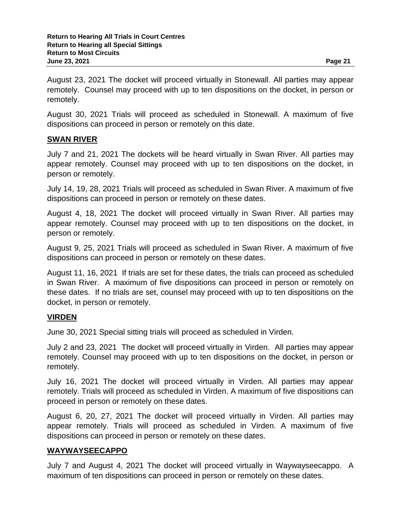August 23, 2021 The docket will proceed virtually in Stonewall. All parties may appear remotely. Counsel may proceed with up to ten dispositions on the docket, in person or remotely.

August 30, 2021 Trials will proceed as scheduled in Stonewall. A maximum of five dispositions can proceed in person or remotely on this date.

#### **SWAN RIVER**

July 7 and 21, 2021 The dockets will be heard virtually in Swan River. All parties may appear remotely. Counsel may proceed with up to ten dispositions on the docket, in person or remotely.

July 14, 19, 28, 2021 Trials will proceed as scheduled in Swan River. A maximum of five dispositions can proceed in person or remotely on these dates.

August 4, 18, 2021 The docket will proceed virtually in Swan River. All parties may appear remotely. Counsel may proceed with up to ten dispositions on the docket, in person or remotely.

August 9, 25, 2021 Trials will proceed as scheduled in Swan River. A maximum of five dispositions can proceed in person or remotely on these dates.

August 11, 16, 2021 If trials are set for these dates, the trials can proceed as scheduled in Swan River. A maximum of five dispositions can proceed in person or remotely on these dates. If no trials are set, counsel may proceed with up to ten dispositions on the docket, in person or remotely.

### **VIRDEN**

June 30, 2021 Special sitting trials will proceed as scheduled in Virden.

July 2 and 23, 2021 The docket will proceed virtually in Virden. All parties may appear remotely. Counsel may proceed with up to ten dispositions on the docket, in person or remotely.

July 16, 2021 The docket will proceed virtually in Virden. All parties may appear remotely. Trials will proceed as scheduled in Virden. A maximum of five dispositions can proceed in person or remotely on these dates.

August 6, 20, 27, 2021 The docket will proceed virtually in Virden. All parties may appear remotely. Trials will proceed as scheduled in Virden. A maximum of five dispositions can proceed in person or remotely on these dates.

### **WAYWAYSEECAPPO**

July 7 and August 4, 2021 The docket will proceed virtually in Waywayseecappo. A maximum of ten dispositions can proceed in person or remotely on these dates.